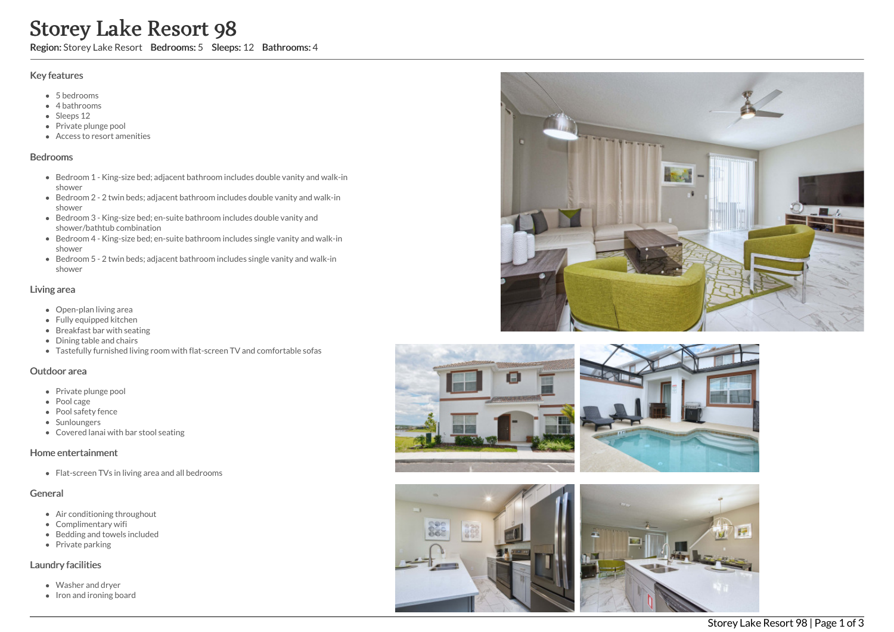# Storey Lake Resort 98

Region: Storey Lake Resort Bedrooms: 5 Sleeps: 12 Bathrooms: 4

#### Key features

- 5 b e d r o o m s
- 4 bathrooms
- Sleeps 12
- Private plunge pool
- Access to resort amenities

#### **Bedrooms**

- Bedroom 1 King-size bed; adjacent bathroom includes double vanity and walk-in s h o w e r
- Bedroom 2 2 twin beds; adjacent bathroom includes double vanity and walk-in s h o w e r
- Bedroom 3 King-size bed; en-suite bathroom includes double vanity and shower/bathtub combination
- Bedroom 4 King-size bed; en-suite bathroom includes single vanity and walk-in s h o w e r
- Bedroom 5 2 twin beds; adjacent bathroom includes single vanity and walk-in s h o w e r

#### Living area

- Open-plan living area
- Fully equipped kitchen
- Breakfast bar with seating
- Dining table and chairs
- Tastefully furnished living room with flat-screen TV and comfortable sofas

#### Outdoor area

- Private plunge pool
- Pool cage
- Pool safety fence
- Sunloungers
- Covered lanai with bar stool seating

## Home entertainment

Flat-screen TVs in living area and all bedrooms

## General

- Air conditioning throughout
- Complimentary wifi
- Bedding and towels in clu d e d
- Private parking

## Laundry facilities

- Washer and dryer
- Iron and ironing board







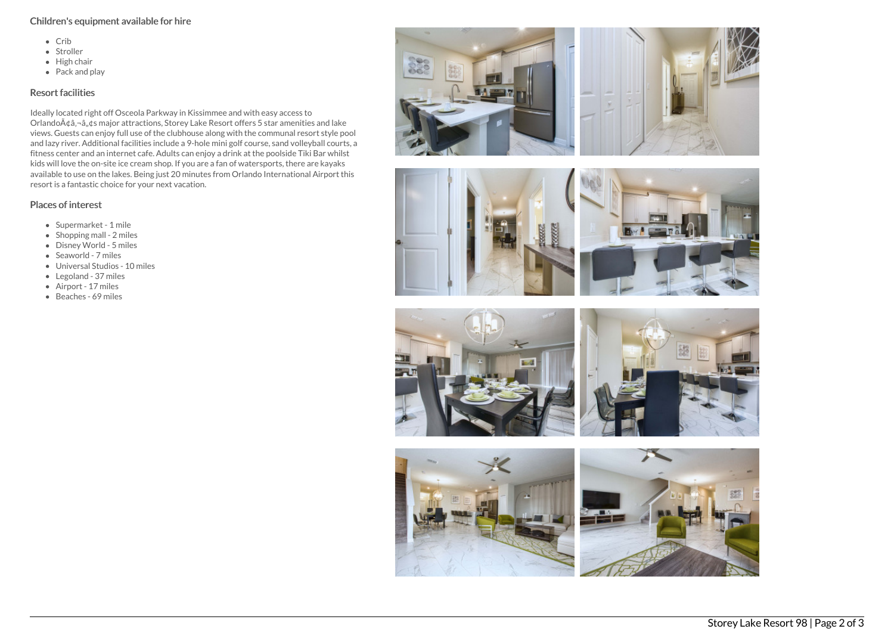# Children's equipment available for hire

- $\bullet$  Crib
- Stroller
- $\bullet$  High chair
- $\bullet$  Pack and play

# Resort facilities

Ideally located right off Osceola Parkway in Kissimmee and with easy access to Orlando $\tilde{A}$ ¢â,¬â, $\tilde{g}$ s major attractions, Storey Lake Resort offers 5 star amenities and lake views. Guests can enjoy full use of the clubhouse along with the communal resort style pool and lazy river. Additional facilities include a 9-hole mini golf course, sand volleyball courts, a fitness center and an internet cafe. Adults can enjoy a drink at the poolside Tiki Bar whilst kids will love the on-site ice cream shop. If you are a fan of watersports, there are kayaks available to use on the lakes. Being just 20 minutes from Orlando International Airport this resort is a fantastic choice for your next vacation.

# Places of interest

- Supermarket 1 mile
- $\bullet$  Shopping mall 2 miles
- Disney World 5 miles
- Seaworld 7 miles
- Universal Studios 10 miles
- Legoland 37 miles
- Airport 17 miles
- Beaches 69 miles